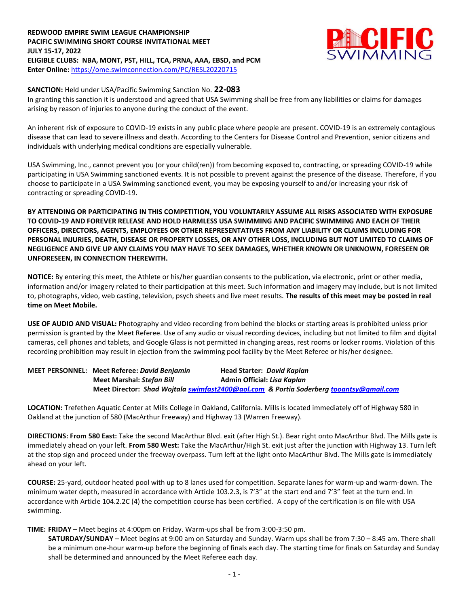## **REDWOOD EMPIRE SWIM LEAGUE CHAMPIONSHIP PACIFIC SWIMMING SHORT COURSE INVITATIONAL MEET JULY 15-17, 2022 ELIGIBLE CLUBS: NBA, MONT, PST, HILL, TCA, PRNA, AAA, EBSD, and PCM Enter Online:** <https://ome.swimconnection.com/PC/RESL20220715>



#### **SANCTION:** Held under USA/Pacific Swimming Sanction No. **22-083**

In granting this sanction it is understood and agreed that USA Swimming shall be free from any liabilities or claims for damages arising by reason of injuries to anyone during the conduct of the event.

An inherent risk of exposure to COVID-19 exists in any public place where people are present. COVID-19 is an extremely contagious disease that can lead to severe illness and death. According to the Centers for Disease Control and Prevention, senior citizens and individuals with underlying medical conditions are especially vulnerable.

USA Swimming, Inc., cannot prevent you (or your child(ren)) from becoming exposed to, contracting, or spreading COVID-19 while participating in USA Swimming sanctioned events. It is not possible to prevent against the presence of the disease. Therefore, if you choose to participate in a USA Swimming sanctioned event, you may be exposing yourself to and/or increasing your risk of contracting or spreading COVID-19.

**BY ATTENDING OR PARTICIPATING IN THIS COMPETITION, YOU VOLUNTARILY ASSUME ALL RISKS ASSOCIATED WITH EXPOSURE TO COVID-19 AND FOREVER RELEASE AND HOLD HARMLESS USA SWIMMING AND PACIFIC SWIMMING AND EACH OF THEIR OFFICERS, DIRECTORS, AGENTS, EMPLOYEES OR OTHER REPRESENTATIVES FROM ANY LIABILITY OR CLAIMS INCLUDING FOR PERSONAL INJURIES, DEATH, DISEASE OR PROPERTY LOSSES, OR ANY OTHER LOSS, INCLUDING BUT NOT LIMITED TO CLAIMS OF NEGLIGENCE AND GIVE UP ANY CLAIMS YOU MAY HAVE TO SEEK DAMAGES, WHETHER KNOWN OR UNKNOWN, FORESEEN OR UNFORESEEN, IN CONNECTION THEREWITH.**

**NOTICE:** By entering this meet, the Athlete or his/her guardian consents to the publication, via electronic, print or other media, information and/or imagery related to their participation at this meet. Such information and imagery may include, but is not limited to, photographs, video, web casting, television, psych sheets and live meet results. **The results of this meet may be posted in real time on Meet Mobile.** 

**USE OF AUDIO AND VISUAL:** Photography and video recording from behind the blocks or starting areas is prohibited unless prior permission is granted by the Meet Referee. Use of any audio or visual recording devices, including but not limited to film and digital cameras, cell phones and tablets, and Google Glass is not permitted in changing areas, rest rooms or locker rooms. Violation of this recording prohibition may result in ejection from the swimming pool facility by the Meet Referee or his/her designee.

| <b>MEET PERSONNEL: Meet Referee: David Benjamin</b> | Head Starter: David Kaplan                                                             |
|-----------------------------------------------------|----------------------------------------------------------------------------------------|
| <b>Meet Marshal: Stefan Bill</b>                    | Admin Official: Lisa Kaplan                                                            |
|                                                     | Meet Director: Shad Wojtala swimfast2400@aol.com & Portia Soderberg tooantsy@gmail.com |

**LOCATION:** Trefethen Aquatic Center at Mills College in Oakland, California. Mills is located immediately off of Highway 580 in Oakland at the junction of 580 (MacArthur Freeway) and Highway 13 (Warren Freeway).

**DIRECTIONS: From 580 East:** Take the second MacArthur Blvd. exit (after High St.). Bear right onto MacArthur Blvd. The Mills gate is immediately ahead on your left. **From 580 West:** Take the MacArthur/High St. exit just after the junction with Highway 13. Turn left at the stop sign and proceed under the freeway overpass. Turn left at the light onto MacArthur Blvd. The Mills gate is immediately ahead on your left.

**COURSE:** 25-yard, outdoor heated pool with up to 8 lanes used for competition. Separate lanes for warm-up and warm-down. The minimum water depth, measured in accordance with Article 103.2.3, is 7'3" at the start end and 7'3" feet at the turn end. In accordance with Article 104.2.2C (4) the competition course has been certified. A copy of the certification is on file with USA swimming.

**TIME: FRIDAY** – Meet begins at 4:00pm on Friday. Warm-ups shall be from 3:00-3:50 pm.

**SATURDAY/SUNDAY** – Meet begins at 9:00 am on Saturday and Sunday. Warm ups shall be from 7:30 – 8:45 am. There shall be a minimum one-hour warm-up before the beginning of finals each day. The starting time for finals on Saturday and Sunday shall be determined and announced by the Meet Referee each day.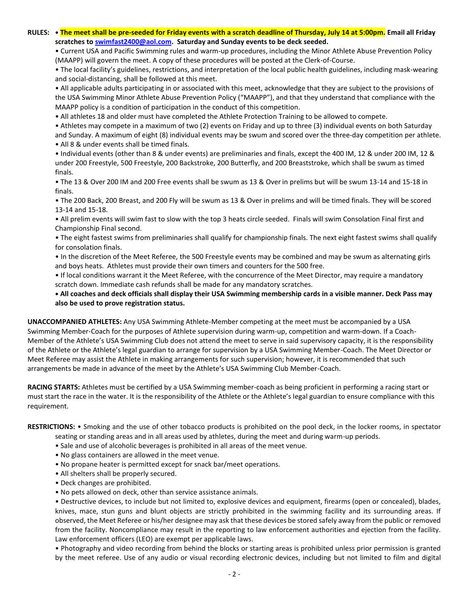**RULES: • The meet shall be pre-seeded for Friday events with a scratch deadline of Thursday, July 14 at 5:00pm. Email all Friday scratches to [swimfast2400@aol.com.](mailto:swimfast2400@aol.com) Saturday and Sunday events to be deck seeded.**

• Current USA and Pacific Swimming rules and warm-up procedures, including the Minor Athlete Abuse Prevention Policy (MAAPP) will govern the meet. A copy of these procedures will be posted at the Clerk-of-Course.

• The local facility's guidelines, restrictions, and interpretation of the local public health guidelines, including mask-wearing and social-distancing, shall be followed at this meet.

• All applicable adults participating in or associated with this meet, acknowledge that they are subject to the provisions of the USA Swimming Minor Athlete Abuse Prevention Policy ("MAAPP"), and that they understand that compliance with the MAAPP policy is a condition of participation in the conduct of this competition.

• All athletes 18 and older must have completed the Athlete Protection Training to be allowed to compete.

• Athletes may compete in a maximum of two (2) events on Friday and up to three (3) individual events on both Saturday and Sunday. A maximum of eight (8) individual events may be swum and scored over the three-day competition per athlete.

• All 8 & under events shall be timed finals.

• Individual events (other than 8 & under events) are preliminaries and finals, except the 400 IM, 12 & under 200 IM, 12 & under 200 Freestyle, 500 Freestyle, 200 Backstroke, 200 Butterfly, and 200 Breaststroke, which shall be swum as timed finals.

• The 13 & Over 200 IM and 200 Free events shall be swum as 13 & Over in prelims but will be swum 13-14 and 15-18 in finals.

• The 200 Back, 200 Breast, and 200 Fly will be swum as 13 & Over in prelims and will be timed finals. They will be scored 13-14 and 15-18.

• All prelim events will swim fast to slow with the top 3 heats circle seeded. Finals will swim Consolation Final first and Championship Final second.

• The eight fastest swims from preliminaries shall qualify for championship finals. The next eight fastest swims shall qualify for consolation finals.

• In the discretion of the Meet Referee, the 500 Freestyle events may be combined and may be swum as alternating girls and boys heats. Athletes must provide their own timers and counters for the 500 free.

• If local conditions warrant it the Meet Referee, with the concurrence of the Meet Director, may require a mandatory scratch down. Immediate cash refunds shall be made for any mandatory scratches.

**• All coaches and deck officials shall display their USA Swimming membership cards in a visible manner. Deck Pass may also be used to prove registration status.** 

**UNACCOMPANIED ATHLETES:** Any USA Swimming Athlete-Member competing at the meet must be accompanied by a USA Swimming Member-Coach for the purposes of Athlete supervision during warm-up, competition and warm-down. If a Coach-Member of the Athlete's USA Swimming Club does not attend the meet to serve in said supervisory capacity, it is the responsibility of the Athlete or the Athlete's legal guardian to arrange for supervision by a USA Swimming Member-Coach. The Meet Director or Meet Referee may assist the Athlete in making arrangements for such supervision; however, it is recommended that such arrangements be made in advance of the meet by the Athlete's USA Swimming Club Member-Coach.

**RACING STARTS:** Athletes must be certified by a USA Swimming member-coach as being proficient in performing a racing start or must start the race in the water. It is the responsibility of the Athlete or the Athlete's legal guardian to ensure compliance with this requirement.

**RESTRICTIONS:** • Smoking and the use of other tobacco products is prohibited on the pool deck, in the locker rooms, in spectator

seating or standing areas and in all areas used by athletes, during the meet and during warm-up periods.

- Sale and use of alcoholic beverages is prohibited in all areas of the meet venue.
- No glass containers are allowed in the meet venue.
- No propane heater is permitted except for snack bar/meet operations.
- All shelters shall be properly secured.
- Deck changes are prohibited.
- No pets allowed on deck, other than service assistance animals.

• Destructive devices, to include but not limited to, explosive devices and equipment, firearms (open or concealed), blades, knives, mace, stun guns and blunt objects are strictly prohibited in the swimming facility and its surrounding areas. If observed, the Meet Referee or his/her designee may ask that these devices be stored safely away from the public or removed from the facility. Noncompliance may result in the reporting to law enforcement authorities and ejection from the facility. Law enforcement officers (LEO) are exempt per applicable laws.

• Photography and video recording from behind the blocks or starting areas is prohibited unless prior permission is granted by the meet referee. Use of any audio or visual recording electronic devices, including but not limited to film and digital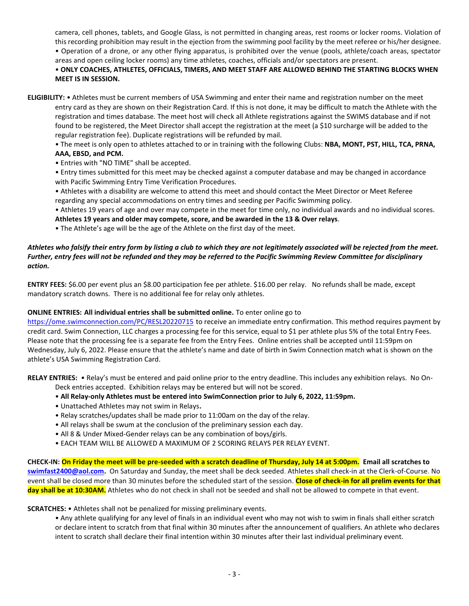camera, cell phones, tablets, and Google Glass, is not permitted in changing areas, rest rooms or locker rooms. Violation of this recording prohibition may result in the ejection from the swimming pool facility by the meet referee or his/her designee. • Operation of a drone, or any other flying apparatus, is prohibited over the venue (pools, athlete/coach areas, spectator areas and open ceiling locker rooms) any time athletes, coaches, officials and/or spectators are present.

# • **ONLY COACHES, ATHLETES, OFFICIALS, TIMERS, AND MEET STAFF ARE ALLOWED BEHIND THE STARTING BLOCKS WHEN MEET IS IN SESSION.**

**ELIGIBILITY:** • Athletes must be current members of USA Swimming and enter their name and registration number on the meet entry card as they are shown on their Registration Card. If this is not done, it may be difficult to match the Athlete with the registration and times database. The meet host will check all Athlete registrations against the SWIMS database and if not found to be registered, the Meet Director shall accept the registration at the meet (a \$10 surcharge will be added to the regular registration fee). Duplicate registrations will be refunded by mail.

• The meet is only open to athletes attached to or in training with the following Clubs: **NBA, MONT, PST, HILL, TCA, PRNA, AAA, EBSD, and PCM.**

• Entries with "NO TIME" shall be accepted.

• Entry times submitted for this meet may be checked against a computer database and may be changed in accordance with Pacific Swimming Entry Time Verification Procedures.

• Athletes with a disability are welcome to attend this meet and should contact the Meet Director or Meet Referee regarding any special accommodations on entry times and seeding per Pacific Swimming policy.

• Athletes 19 years of age and over may compete in the meet for time only, no individual awards and no individual scores. **Athletes 19 years and older may compete, score, and be awarded in the 13 & Over relays**.

• The Athlete's age will be the age of the Athlete on the first day of the meet.

## *Athletes who falsify their entry form by listing a club to which they are not legitimately associated will be rejected from the meet. Further, entry fees will not be refunded and they may be referred to the Pacific Swimming Review Committee for disciplinary action.*

**ENTRY FEES:** \$6.00 per event plus an \$8.00 participation fee per athlete. \$16.00 per relay. No refunds shall be made, except mandatory scratch downs. There is no additional fee for relay only athletes.

#### **ONLINE ENTRIES: All individual entries shall be submitted online.** To enter online go to

<https://ome.swimconnection.com/PC/RESL20220715> to receive an immediate entry confirmation. This method requires payment by credit card. Swim Connection, LLC charges a processing fee for this service, equal to \$1 per athlete plus 5% of the total Entry Fees. Please note that the processing fee is a separate fee from the Entry Fees. Online entries shall be accepted until 11:59pm on Wednesday, July 6, 2022. Please ensure that the athlete's name and date of birth in Swim Connection match what is shown on the athlete's USA Swimming Registration Card.

**RELAY ENTRIES:** • Relay's must be entered and paid online prior to the entry deadline. This includes any exhibition relays. No On-Deck entries accepted. Exhibition relays may be entered but will not be scored.

- **All Relay-only Athletes must be entered into SwimConnection prior to July 6, 2022, 11:59pm.**
- Unattached Athletes may not swim in Relays**.**
- Relay scratches/updates shall be made prior to 11:00am on the day of the relay.
- All relays shall be swum at the conclusion of the preliminary session each day.
- All 8 & Under Mixed-Gender relays can be any combination of boys/girls.
- EACH TEAM WILL BE ALLOWED A MAXIMUM OF 2 SCORING RELAYS PER RELAY EVENT.

**CHECK-IN: On Friday the meet will be pre-seeded with a scratch deadline of Thursday, July 14 at 5:00pm. Email all scratches to [swimfast2400@aol.com.](mailto:swimfast2400@aol.com)** On Saturday and Sunday, the meet shall be deck seeded. Athletes shall check-in at the Clerk-of-Course. No event shall be closed more than 30 minutes before the scheduled start of the session. **Close of check-in for all prelim events for that day shall be at 10:30AM.** Athletes who do not check in shall not be seeded and shall not be allowed to compete in that event.

**SCRATCHES:** • Athletes shall not be penalized for missing preliminary events.

• Any athlete qualifying for any level of finals in an individual event who may not wish to swim in finals shall either scratch or declare intent to scratch from that final within 30 minutes after the announcement of qualifiers. An athlete who declares intent to scratch shall declare their final intention within 30 minutes after their last individual preliminary event.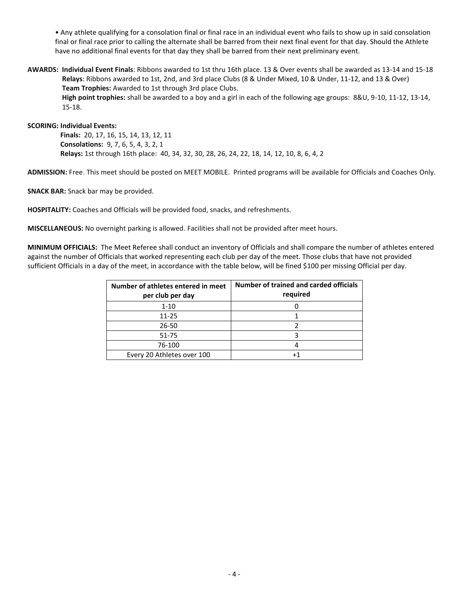• Any athlete qualifying for a consolation final or final race in an individual event who fails to show up in said consolation final or final race prior to calling the alternate shall be barred from their next final event for that day. Should the Athlete have no additional final events for that day they shall be barred from their next preliminary event.

**AWARDS: Individual Event Finals**: Ribbons awarded to 1st thru 16th place. 13 & Over events shall be awarded as 13-14 and 15-18  **Relays**: Ribbons awarded to 1st, 2nd, and 3rd place Clubs (8 & Under Mixed, 10 & Under, 11-12, and 13 & Over)  **Team Trophies:** Awarded to 1st through 3rd place Clubs.  **High point trophies:** shall be awarded to a boy and a girl in each of the following age groups: 8&U, 9-10, 11-12, 13-14, 15-18.

**SCORING: Individual Events:** 

 **Finals:** 20, 17, 16, 15, 14, 13, 12, 11  **Consolations:** 9, 7, 6, 5, 4, 3, 2, 1  **Relays:** 1st through 16th place: 40, 34, 32, 30, 28, 26, 24, 22, 18, 14, 12, 10, 8, 6, 4, 2

**ADMISSION:** Free. This meet should be posted on MEET MOBILE. Printed programs will be available for Officials and Coaches Only.

**SNACK BAR:** Snack bar may be provided.

**HOSPITALITY:** Coaches and Officials will be provided food, snacks, and refreshments.

**MISCELLANEOUS:** No overnight parking is allowed. Facilities shall not be provided after meet hours.

**MINIMUM OFFICIALS:** The Meet Referee shall conduct an inventory of Officials and shall compare the number of athletes entered against the number of Officials that worked representing each club per day of the meet. Those clubs that have not provided sufficient Officials in a day of the meet, in accordance with the table below, will be fined \$100 per missing Official per day.

| Number of athletes entered in meet<br>per club per day | Number of trained and carded officials<br>required |
|--------------------------------------------------------|----------------------------------------------------|
| $1 - 10$                                               |                                                    |
| $11 - 25$                                              |                                                    |
| 26-50                                                  |                                                    |
| 51-75                                                  |                                                    |
| 76-100                                                 |                                                    |
| Every 20 Athletes over 100                             |                                                    |